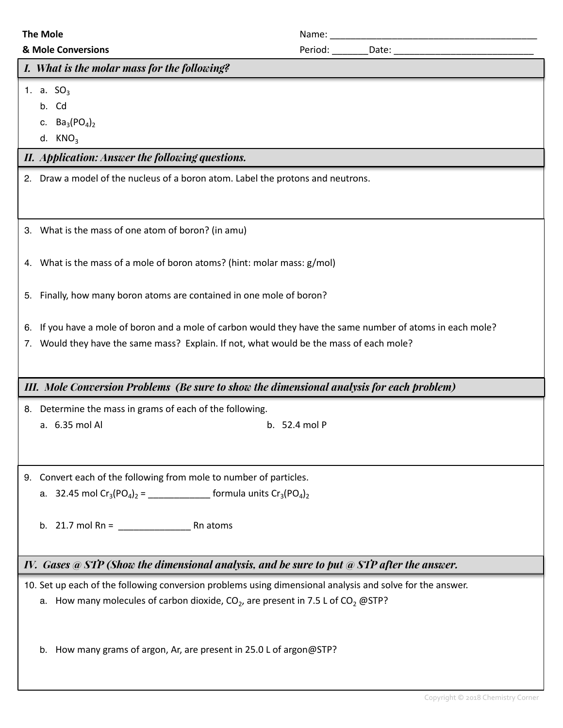|    | <b>The Mole</b>                                                                                           |                         |  |  |
|----|-----------------------------------------------------------------------------------------------------------|-------------------------|--|--|
|    | & Mole Conversions                                                                                        | Period: ________Date: _ |  |  |
|    | I. What is the molar mass for the following?                                                              |                         |  |  |
|    | 1. a. $SO_3$                                                                                              |                         |  |  |
|    | b. Cd                                                                                                     |                         |  |  |
|    | c. $Ba_3(PO_4)_2$                                                                                         |                         |  |  |
|    | d. $KNO3$                                                                                                 |                         |  |  |
|    | II. Application: Answer the following questions.                                                          |                         |  |  |
|    | 2. Draw a model of the nucleus of a boron atom. Label the protons and neutrons.                           |                         |  |  |
|    | 3. What is the mass of one atom of boron? (in amu)                                                        |                         |  |  |
|    | 4. What is the mass of a mole of boron atoms? (hint: molar mass: g/mol)                                   |                         |  |  |
| 5. | Finally, how many boron atoms are contained in one mole of boron?                                         |                         |  |  |
| 6. | If you have a mole of boron and a mole of carbon would they have the same number of atoms in each mole?   |                         |  |  |
|    | 7. Would they have the same mass? Explain. If not, what would be the mass of each mole?                   |                         |  |  |
|    |                                                                                                           |                         |  |  |
|    | III. Mole Conversion Problems (Be sure to show the dimensional analysis for each problem)                 |                         |  |  |
|    |                                                                                                           |                         |  |  |
|    | 8. Determine the mass in grams of each of the following.<br>a. 6.35 mol Al                                | b. 52.4 mol P           |  |  |
|    |                                                                                                           |                         |  |  |
|    | 9. Convert each of the following from mole to number of particles.                                        |                         |  |  |
|    | a. 32.45 mol $Cr_3(PO_4)_2 =$ _____________________ formula units $Cr_3(PO_4)_2$                          |                         |  |  |
|    | b. 21.7 mol Rn = $\frac{1}{2}$ Rn atoms                                                                   |                         |  |  |
|    | IV. Gases @ STP (Show the dimensional analysis, and be sure to put @ STP after the answer.                |                         |  |  |
|    | 10. Set up each of the following conversion problems using dimensional analysis and solve for the answer. |                         |  |  |
|    | a. How many molecules of carbon dioxide, $CO2$ , are present in 7.5 L of $CO2$ @STP?                      |                         |  |  |
|    |                                                                                                           |                         |  |  |
|    | How many grams of argon, Ar, are present in 25.0 L of argon@STP?<br>b.                                    |                         |  |  |